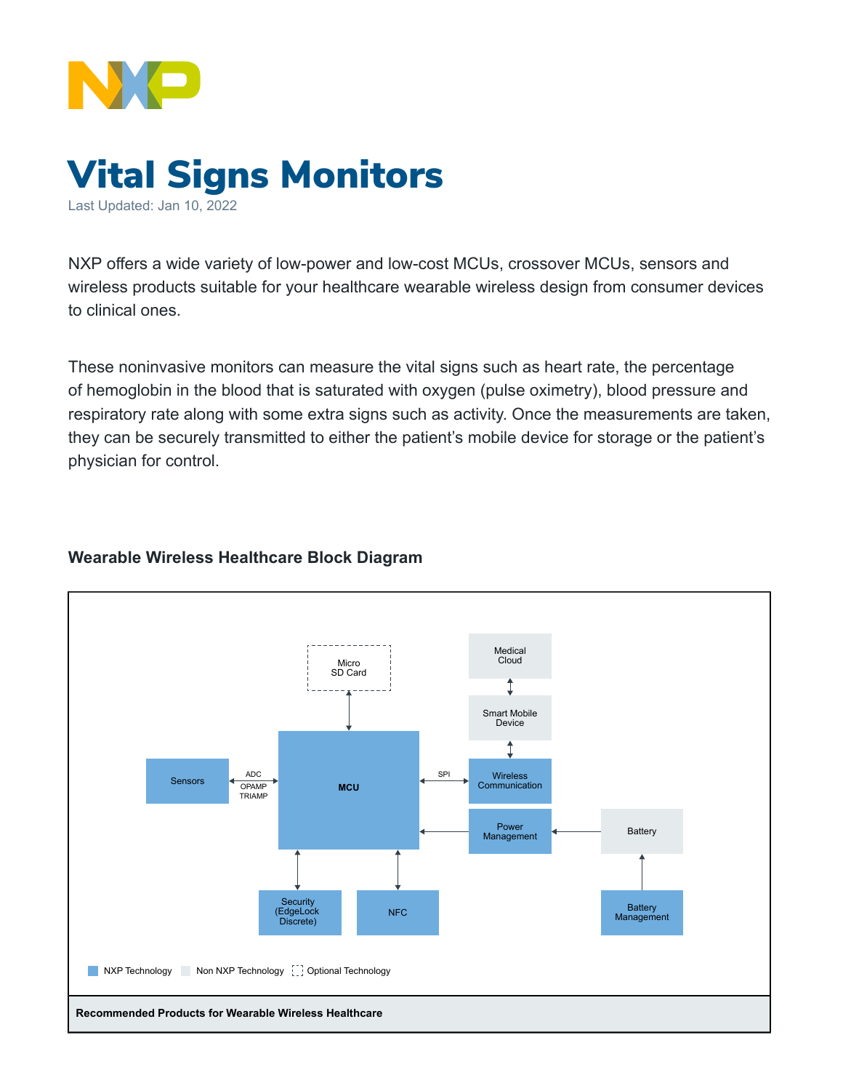

# Vital Signs Monitors

Last Updated: Jan 10, 2022

NXP offers a wide variety of low-power and low-cost MCUs, crossover MCUs, sensors and wireless products suitable for your healthcare wearable wireless design from consumer devices to clinical ones.

These noninvasive monitors can measure the vital signs such as heart rate, the percentage of hemoglobin in the blood that is saturated with oxygen (pulse oximetry), blood pressure and respiratory rate along with some extra signs such as activity. Once the measurements are taken, they can be securely transmitted to either the patient's mobile device for storage or the patient's physician for control.

### **Wearable Wireless Healthcare Block Diagram**

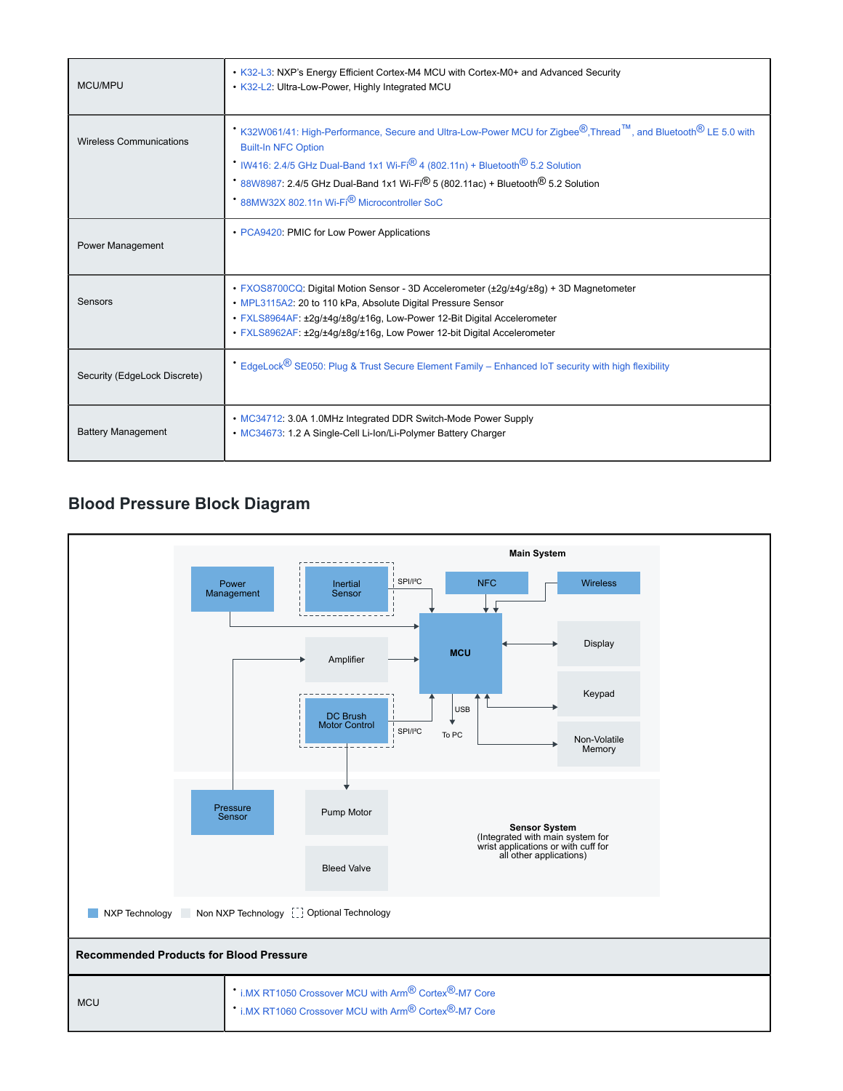| MCU/MPU                        | • K32-L3: NXP's Energy Efficient Cortex-M4 MCU with Cortex-M0+ and Advanced Security<br>. K32-L2: Ultra-Low-Power, Highly Integrated MCU                                                                                                                                                                                                                                                                                             |
|--------------------------------|--------------------------------------------------------------------------------------------------------------------------------------------------------------------------------------------------------------------------------------------------------------------------------------------------------------------------------------------------------------------------------------------------------------------------------------|
| <b>Wireless Communications</b> | K32W061/41: High-Performance, Secure and Ultra-Low-Power MCU for Zigbee®, Thread ™, and Bluetooth® LE 5.0 with<br><b>Built-In NFC Option</b><br>IW416: 2.4/5 GHz Dual-Band 1x1 Wi-Fi <sup>®</sup> 4 (802.11n) + Bluetooth <sup>®</sup> 5.2 Solution<br>88W8987: 2.4/5 GHz Dual-Band 1x1 Wi-Fi <sup>®</sup> 5 (802.11ac) + Bluetooth <sup>®</sup> 5.2 Solution<br><sup>*</sup> 88MW32X 802.11n Wi-Fi <sup>®</sup> Microcontroller SoC |
| Power Management               | • PCA9420: PMIC for Low Power Applications                                                                                                                                                                                                                                                                                                                                                                                           |
| Sensors                        | • FXOS8700CQ: Digital Motion Sensor - 3D Accelerometer (±2q/±4q/±8q) + 3D Magnetometer<br>• MPL3115A2: 20 to 110 kPa, Absolute Digital Pressure Sensor<br>· FXLS8964AF: ±2q/±4q/±8q/±16q, Low-Power 12-Bit Digital Accelerometer<br>· FXLS8962AF: ±2g/±4g/±8g/±16g, Low Power 12-bit Digital Accelerometer                                                                                                                           |
| Security (EdgeLock Discrete)   | EdgeLock® SE050: Plug & Trust Secure Element Family - Enhanced IoT security with high flexibility                                                                                                                                                                                                                                                                                                                                    |
| <b>Battery Management</b>      | • MC34712: 3.0A 1.0MHz Integrated DDR Switch-Mode Power Supply<br>• MC34673: 1.2 A Single-Cell Li-Ion/Li-Polymer Battery Charger                                                                                                                                                                                                                                                                                                     |

# **Blood Pressure Block Diagram**

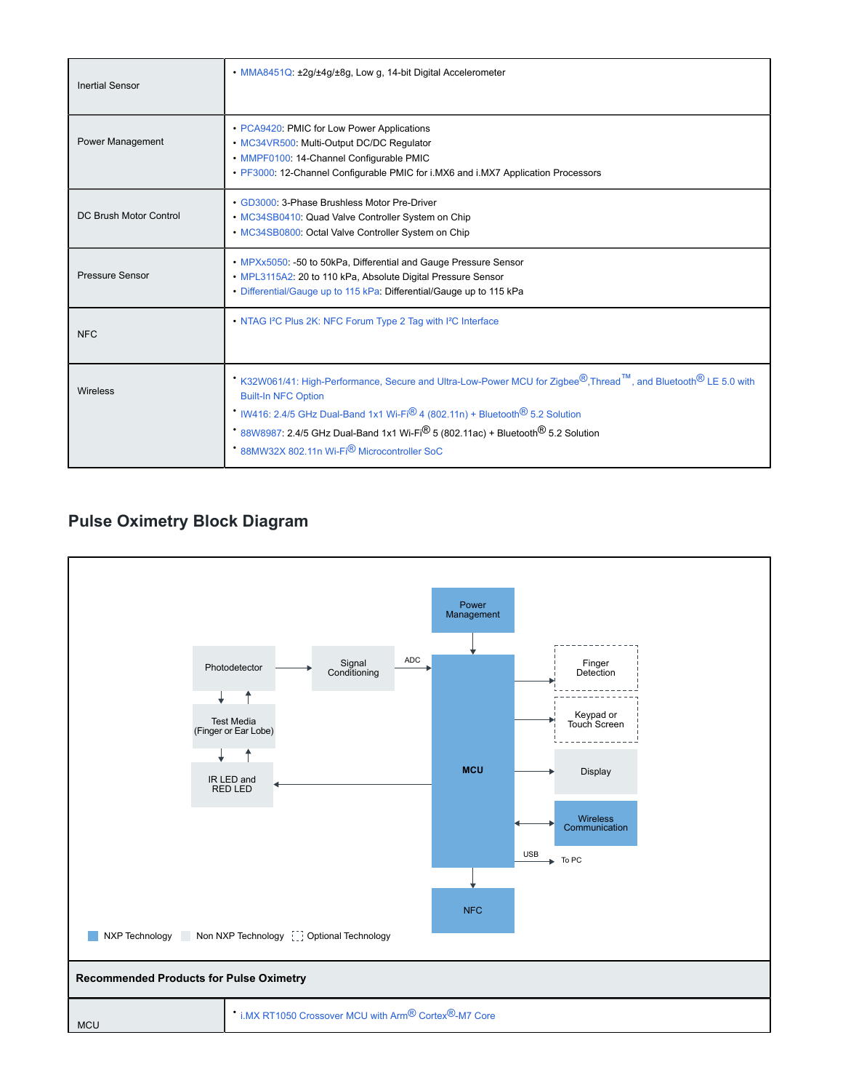| <b>Inertial Sensor</b> | • MMA8451Q: ±2g/±4g/±8g, Low g, 14-bit Digital Accelerometer                                                                                                                                                                                                                                                                                                                                                                                                 |
|------------------------|--------------------------------------------------------------------------------------------------------------------------------------------------------------------------------------------------------------------------------------------------------------------------------------------------------------------------------------------------------------------------------------------------------------------------------------------------------------|
| Power Management       | • PCA9420: PMIC for Low Power Applications<br>• MC34VR500: Multi-Output DC/DC Regulator<br>• MMPF0100: 14-Channel Configurable PMIC<br>• PF3000: 12-Channel Configurable PMIC for i.MX6 and i.MX7 Application Processors                                                                                                                                                                                                                                     |
| DC Brush Motor Control | • GD3000: 3-Phase Brushless Motor Pre-Driver<br>• MC34SB0410: Quad Valve Controller System on Chip<br>• MC34SB0800: Octal Valve Controller System on Chip                                                                                                                                                                                                                                                                                                    |
| <b>Pressure Sensor</b> | • MPXx5050: -50 to 50kPa, Differential and Gauge Pressure Sensor<br>• MPL3115A2: 20 to 110 kPa, Absolute Digital Pressure Sensor<br>• Differential/Gauge up to 115 kPa: Differential/Gauge up to 115 kPa                                                                                                                                                                                                                                                     |
| <b>NFC</b>             | • NTAG I <sup>2</sup> C Plus 2K: NFC Forum Type 2 Tag with I <sup>2</sup> C Interface                                                                                                                                                                                                                                                                                                                                                                        |
| Wireless               | K32W061/41: High-Performance, Secure and Ultra-Low-Power MCU for Zigbee <sup>®</sup> , Thread <sup>™</sup> , and Bluetooth <sup>®</sup> LE 5.0 with<br><b>Built-In NFC Option</b><br>IW416: 2.4/5 GHz Dual-Band 1x1 Wi-Fi <sup>®</sup> 4 (802.11n) + Bluetooth <sup>®</sup> 5.2 Solution<br>88W8987: 2.4/5 GHz Dual-Band 1x1 Wi-Fi <sup>®</sup> 5 (802.11ac) + Bluetooth <sup>®</sup> 5.2 Solution<br>88MW32X 802.11n Wi-Fi <sup>®</sup> Microcontroller SoC |

## **Pulse Oximetry Block Diagram**